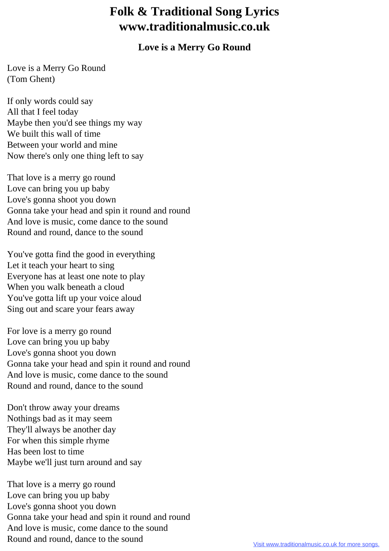## **Folk & Traditional Song Lyrics www.traditionalmusic.co.uk**

## **Love is a Merry Go Round**

Love is a Merry Go Round (Tom Ghent)

If only words could say All that I feel today Maybe then you'd see things my way We built this wall of time Between your world and mine Now there's only one thing left to say

That love is a merry go round Love can bring you up baby Love's gonna shoot you down Gonna take your head and spin it round and round And love is music, come dance to the sound Round and round, dance to the sound

You've gotta find the good in everything Let it teach your heart to sing Everyone has at least one note to play When you walk beneath a cloud You've gotta lift up your voice aloud Sing out and scare your fears away

For love is a merry go round Love can bring you up baby Love's gonna shoot you down Gonna take your head and spin it round and round And love is music, come dance to the sound Round and round, dance to the sound

Don't throw away your dreams Nothings bad as it may seem They'll always be another day For when this simple rhyme Has been lost to time Maybe we'll just turn around and say

That love is a merry go round Love can bring you up baby Love's gonna shoot you down Gonna take your head and spin it round and round And love is music, come dance to the sound Round and round, dance to the sound